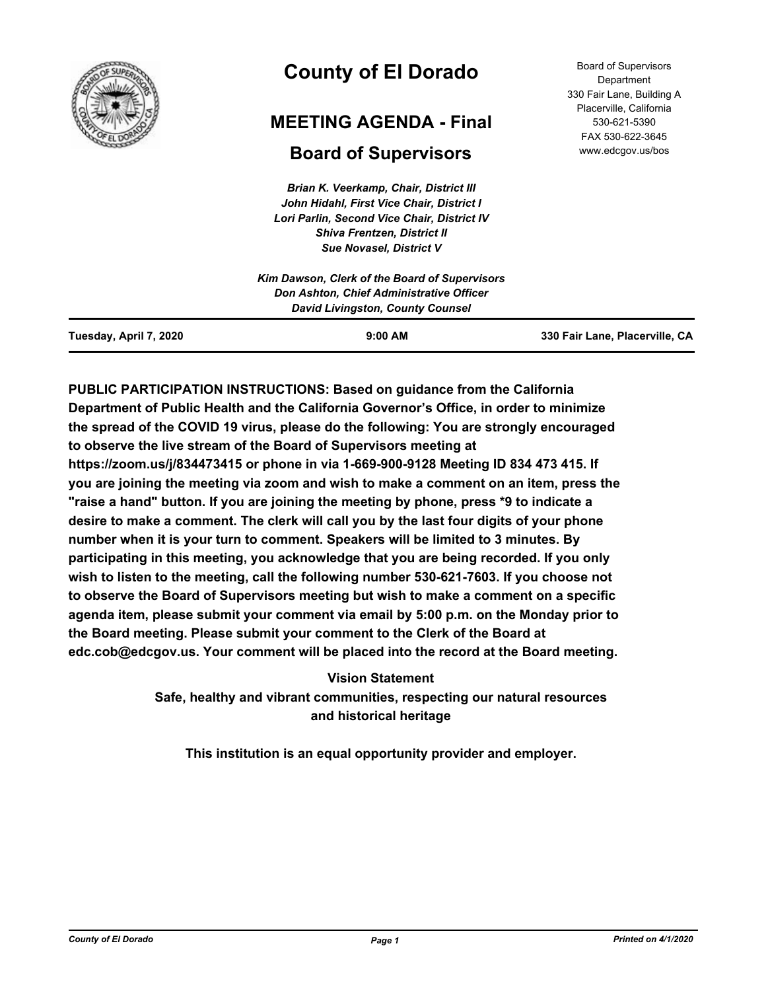

# **County of El Dorado**

## **MEETING AGENDA - Final**

## **Board of Supervisors**

*Brian K. Veerkamp, Chair, District III John Hidahl, First Vice Chair, District I Lori Parlin, Second Vice Chair, District IV Shiva Frentzen, District II Sue Novasel, District V*

Board of Supervisors **Department** 330 Fair Lane, Building A Placerville, California 530-621-5390 FAX 530-622-3645 www.edcgov.us/bos

**PUBLIC PARTICIPATION INSTRUCTIONS: Based on guidance from the California Department of Public Health and the California Governor's Office, in order to minimize the spread of the COVID 19 virus, please do the following: You are strongly encouraged to observe the live stream of the Board of Supervisors meeting at https://zoom.us/j/834473415 or phone in via 1-669-900-9128 Meeting ID 834 473 415. If you are joining the meeting via zoom and wish to make a comment on an item, press the "raise a hand" button. If you are joining the meeting by phone, press \*9 to indicate a desire to make a comment. The clerk will call you by the last four digits of your phone number when it is your turn to comment. Speakers will be limited to 3 minutes. By participating in this meeting, you acknowledge that you are being recorded. If you only wish to listen to the meeting, call the following number 530-621-7603. If you choose not to observe the Board of Supervisors meeting but wish to make a comment on a specific agenda item, please submit your comment via email by 5:00 p.m. on the Monday prior to the Board meeting. Please submit your comment to the Clerk of the Board at edc.cob@edcgov.us. Your comment will be placed into the record at the Board meeting.**

> **Vision Statement Safe, healthy and vibrant communities, respecting our natural resources and historical heritage**

**This institution is an equal opportunity provider and employer.**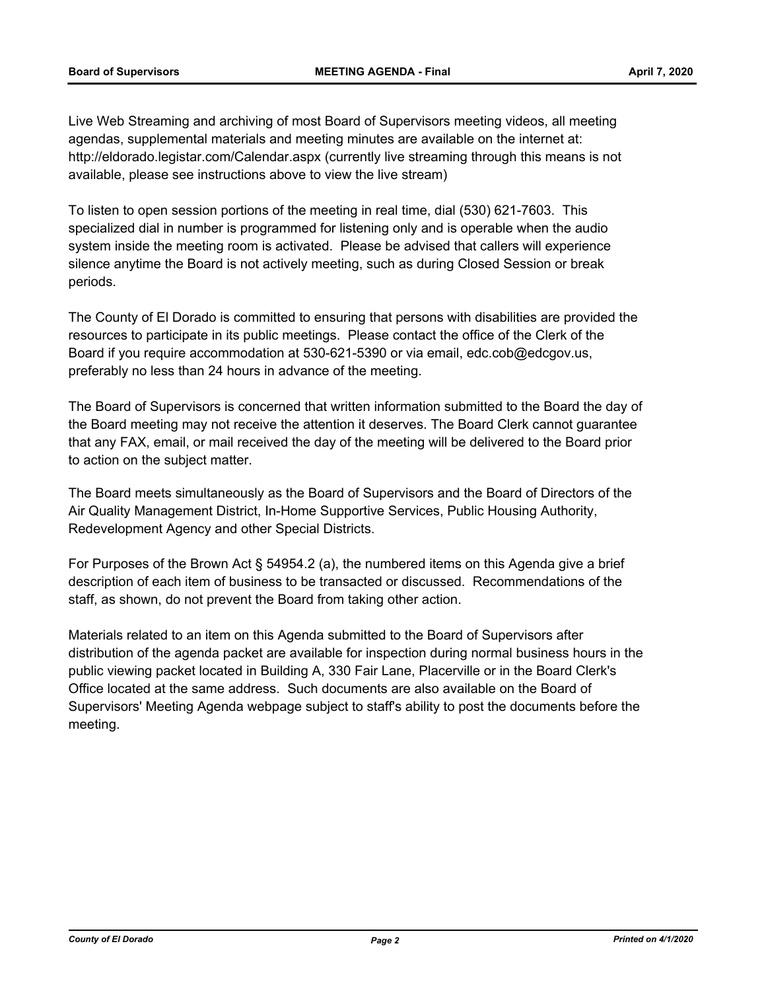Live Web Streaming and archiving of most Board of Supervisors meeting videos, all meeting agendas, supplemental materials and meeting minutes are available on the internet at: http://eldorado.legistar.com/Calendar.aspx (currently live streaming through this means is not available, please see instructions above to view the live stream)

To listen to open session portions of the meeting in real time, dial (530) 621-7603. This specialized dial in number is programmed for listening only and is operable when the audio system inside the meeting room is activated. Please be advised that callers will experience silence anytime the Board is not actively meeting, such as during Closed Session or break periods.

The County of El Dorado is committed to ensuring that persons with disabilities are provided the resources to participate in its public meetings. Please contact the office of the Clerk of the Board if you require accommodation at 530-621-5390 or via email, edc.cob@edcgov.us, preferably no less than 24 hours in advance of the meeting.

The Board of Supervisors is concerned that written information submitted to the Board the day of the Board meeting may not receive the attention it deserves. The Board Clerk cannot guarantee that any FAX, email, or mail received the day of the meeting will be delivered to the Board prior to action on the subject matter.

The Board meets simultaneously as the Board of Supervisors and the Board of Directors of the Air Quality Management District, In-Home Supportive Services, Public Housing Authority, Redevelopment Agency and other Special Districts.

For Purposes of the Brown Act § 54954.2 (a), the numbered items on this Agenda give a brief description of each item of business to be transacted or discussed. Recommendations of the staff, as shown, do not prevent the Board from taking other action.

Materials related to an item on this Agenda submitted to the Board of Supervisors after distribution of the agenda packet are available for inspection during normal business hours in the public viewing packet located in Building A, 330 Fair Lane, Placerville or in the Board Clerk's Office located at the same address. Such documents are also available on the Board of Supervisors' Meeting Agenda webpage subject to staff's ability to post the documents before the meeting.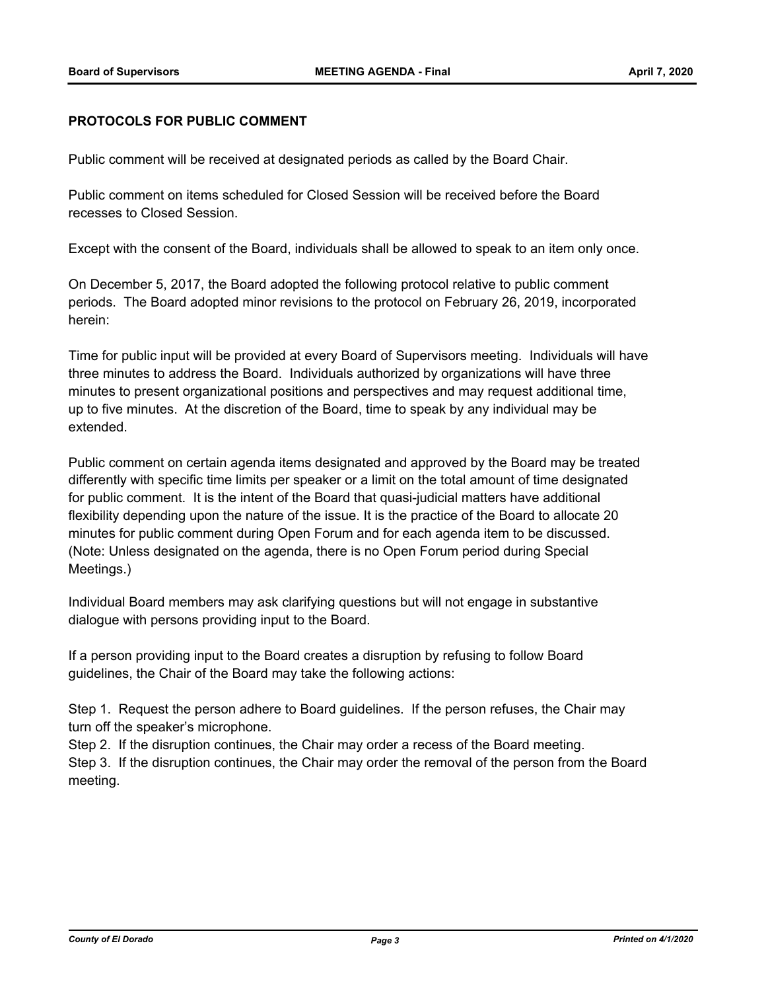### **PROTOCOLS FOR PUBLIC COMMENT**

Public comment will be received at designated periods as called by the Board Chair.

Public comment on items scheduled for Closed Session will be received before the Board recesses to Closed Session.

Except with the consent of the Board, individuals shall be allowed to speak to an item only once.

On December 5, 2017, the Board adopted the following protocol relative to public comment periods. The Board adopted minor revisions to the protocol on February 26, 2019, incorporated herein:

Time for public input will be provided at every Board of Supervisors meeting. Individuals will have three minutes to address the Board. Individuals authorized by organizations will have three minutes to present organizational positions and perspectives and may request additional time, up to five minutes. At the discretion of the Board, time to speak by any individual may be extended.

Public comment on certain agenda items designated and approved by the Board may be treated differently with specific time limits per speaker or a limit on the total amount of time designated for public comment. It is the intent of the Board that quasi-judicial matters have additional flexibility depending upon the nature of the issue. It is the practice of the Board to allocate 20 minutes for public comment during Open Forum and for each agenda item to be discussed. (Note: Unless designated on the agenda, there is no Open Forum period during Special Meetings.)

Individual Board members may ask clarifying questions but will not engage in substantive dialogue with persons providing input to the Board.

If a person providing input to the Board creates a disruption by refusing to follow Board guidelines, the Chair of the Board may take the following actions:

Step 1. Request the person adhere to Board guidelines. If the person refuses, the Chair may turn off the speaker's microphone.

Step 2. If the disruption continues, the Chair may order a recess of the Board meeting.

Step 3. If the disruption continues, the Chair may order the removal of the person from the Board meeting.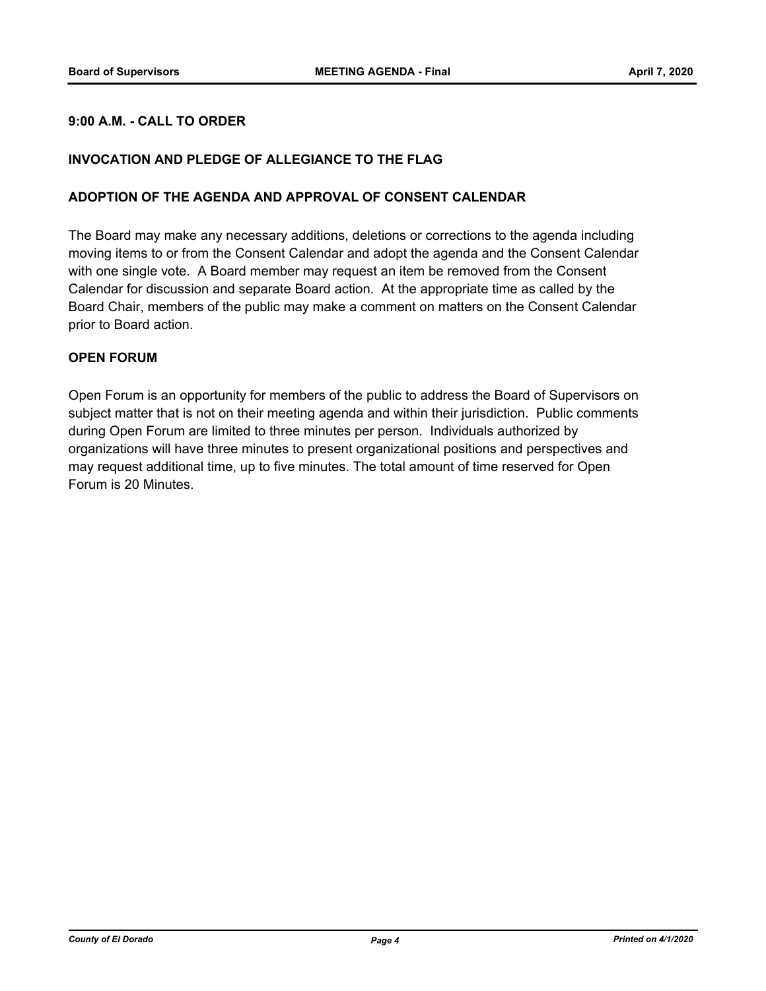### **9:00 A.M. - CALL TO ORDER**

#### **INVOCATION AND PLEDGE OF ALLEGIANCE TO THE FLAG**

#### **ADOPTION OF THE AGENDA AND APPROVAL OF CONSENT CALENDAR**

The Board may make any necessary additions, deletions or corrections to the agenda including moving items to or from the Consent Calendar and adopt the agenda and the Consent Calendar with one single vote. A Board member may request an item be removed from the Consent Calendar for discussion and separate Board action. At the appropriate time as called by the Board Chair, members of the public may make a comment on matters on the Consent Calendar prior to Board action.

#### **OPEN FORUM**

Open Forum is an opportunity for members of the public to address the Board of Supervisors on subject matter that is not on their meeting agenda and within their jurisdiction. Public comments during Open Forum are limited to three minutes per person. Individuals authorized by organizations will have three minutes to present organizational positions and perspectives and may request additional time, up to five minutes. The total amount of time reserved for Open Forum is 20 Minutes.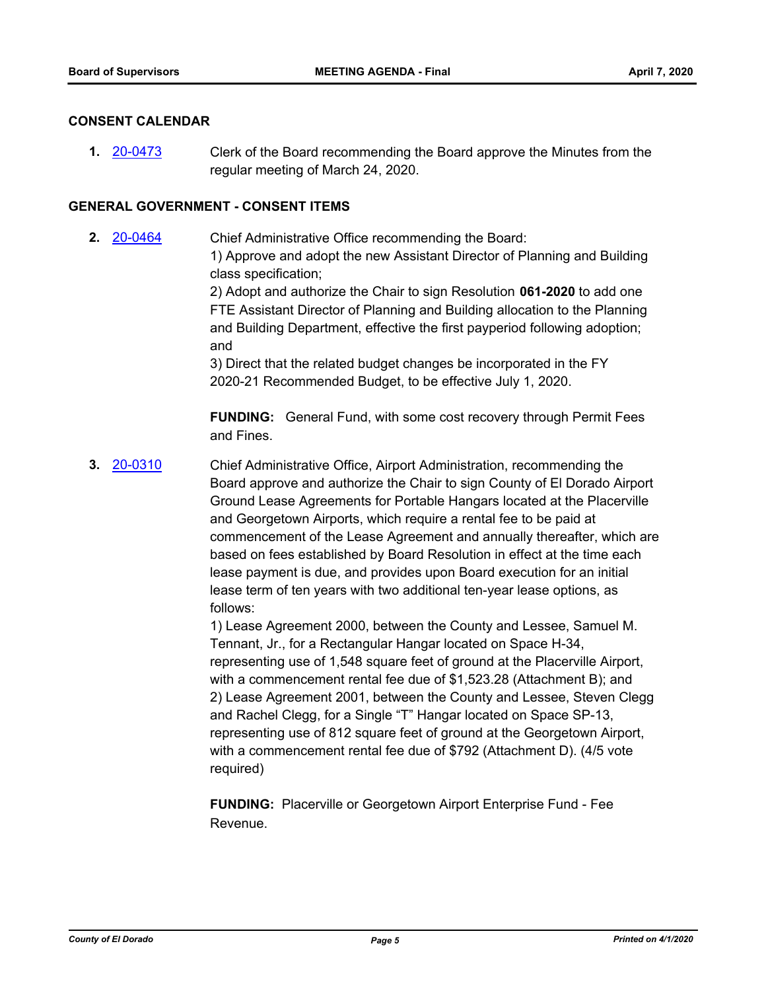#### **CONSENT CALENDAR**

**1.** [20-0473](http://eldorado.legistar.com/gateway.aspx?m=l&id=/matter.aspx?key=27679) Clerk of the Board recommending the Board approve the Minutes from the regular meeting of March 24, 2020.

#### **GENERAL GOVERNMENT - CONSENT ITEMS**

**2.** [20-0464](http://eldorado.legistar.com/gateway.aspx?m=l&id=/matter.aspx?key=27670) Chief Administrative Office recommending the Board: 1) Approve and adopt the new Assistant Director of Planning and Building class specification; 2) Adopt and authorize the Chair to sign Resolution **061-2020** to add one

FTE Assistant Director of Planning and Building allocation to the Planning and Building Department, effective the first payperiod following adoption; and

3) Direct that the related budget changes be incorporated in the FY 2020-21 Recommended Budget, to be effective July 1, 2020.

**FUNDING:** General Fund, with some cost recovery through Permit Fees and Fines.

**3.** [20-0310](http://eldorado.legistar.com/gateway.aspx?m=l&id=/matter.aspx?key=27515) Chief Administrative Office, Airport Administration, recommending the Board approve and authorize the Chair to sign County of El Dorado Airport Ground Lease Agreements for Portable Hangars located at the Placerville and Georgetown Airports, which require a rental fee to be paid at commencement of the Lease Agreement and annually thereafter, which are based on fees established by Board Resolution in effect at the time each lease payment is due, and provides upon Board execution for an initial lease term of ten years with two additional ten-year lease options, as follows:

> 1) Lease Agreement 2000, between the County and Lessee, Samuel M. Tennant, Jr., for a Rectangular Hangar located on Space H-34, representing use of 1,548 square feet of ground at the Placerville Airport, with a commencement rental fee due of \$1,523.28 (Attachment B); and 2) Lease Agreement 2001, between the County and Lessee, Steven Clegg and Rachel Clegg, for a Single "T" Hangar located on Space SP-13, representing use of 812 square feet of ground at the Georgetown Airport, with a commencement rental fee due of \$792 (Attachment D). (4/5 vote required)

**FUNDING:** Placerville or Georgetown Airport Enterprise Fund - Fee Revenue.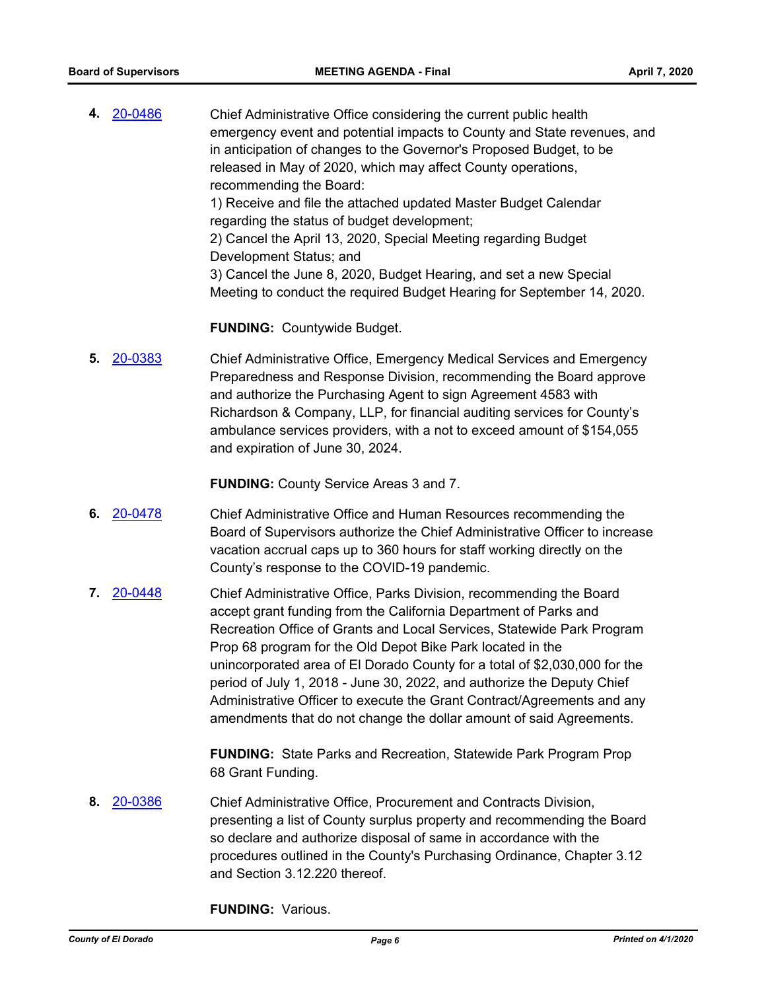**4.** [20-0486](http://eldorado.legistar.com/gateway.aspx?m=l&id=/matter.aspx?key=27692) Chief Administrative Office considering the current public health emergency event and potential impacts to County and State revenues, and in anticipation of changes to the Governor's Proposed Budget, to be released in May of 2020, which may affect County operations, recommending the Board: 1) Receive and file the attached updated Master Budget Calendar regarding the status of budget development; 2) Cancel the April 13, 2020, Special Meeting regarding Budget Development Status; and 3) Cancel the June 8, 2020, Budget Hearing, and set a new Special Meeting to conduct the required Budget Hearing for September 14, 2020.

#### **FUNDING:** Countywide Budget.

**5.** [20-0383](http://eldorado.legistar.com/gateway.aspx?m=l&id=/matter.aspx?key=27588) Chief Administrative Office, Emergency Medical Services and Emergency Preparedness and Response Division, recommending the Board approve and authorize the Purchasing Agent to sign Agreement 4583 with Richardson & Company, LLP, for financial auditing services for County's ambulance services providers, with a not to exceed amount of \$154,055 and expiration of June 30, 2024.

**FUNDING:** County Service Areas 3 and 7.

- **6.** [20-0478](http://eldorado.legistar.com/gateway.aspx?m=l&id=/matter.aspx?key=27684) Chief Administrative Office and Human Resources recommending the Board of Supervisors authorize the Chief Administrative Officer to increase vacation accrual caps up to 360 hours for staff working directly on the County's response to the COVID-19 pandemic.
- **7.** [20-0448](http://eldorado.legistar.com/gateway.aspx?m=l&id=/matter.aspx?key=27654) Chief Administrative Office, Parks Division, recommending the Board accept grant funding from the California Department of Parks and Recreation Office of Grants and Local Services, Statewide Park Program Prop 68 program for the Old Depot Bike Park located in the unincorporated area of El Dorado County for a total of \$2,030,000 for the period of July 1, 2018 - June 30, 2022, and authorize the Deputy Chief Administrative Officer to execute the Grant Contract/Agreements and any amendments that do not change the dollar amount of said Agreements.

**FUNDING:** State Parks and Recreation, Statewide Park Program Prop 68 Grant Funding.

**8.** [20-0386](http://eldorado.legistar.com/gateway.aspx?m=l&id=/matter.aspx?key=27591) Chief Administrative Office, Procurement and Contracts Division, presenting a list of County surplus property and recommending the Board so declare and authorize disposal of same in accordance with the procedures outlined in the County's Purchasing Ordinance, Chapter 3.12 and Section 3.12.220 thereof.

**FUNDING:** Various.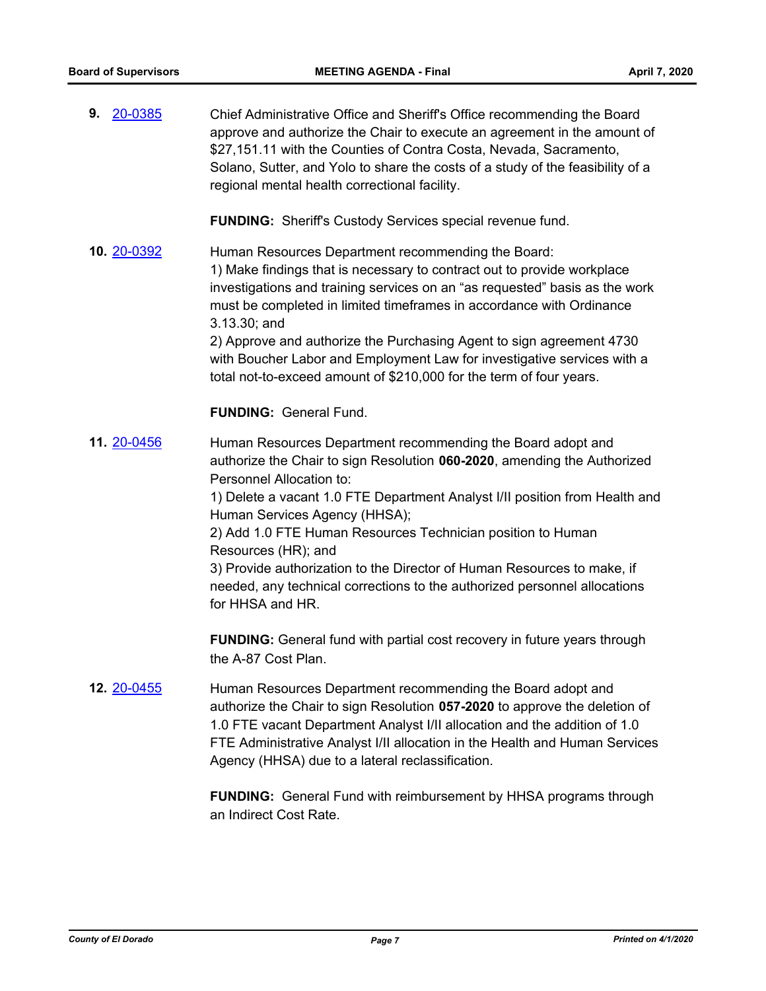| 20-0385<br>9.      | Chief Administrative Office and Sheriff's Office recommending the Board<br>approve and authorize the Chair to execute an agreement in the amount of<br>\$27,151.11 with the Counties of Contra Costa, Nevada, Sacramento,<br>Solano, Sutter, and Yolo to share the costs of a study of the feasibility of a<br>regional mental health correctional facility.                                                                                                                                                                      |
|--------------------|-----------------------------------------------------------------------------------------------------------------------------------------------------------------------------------------------------------------------------------------------------------------------------------------------------------------------------------------------------------------------------------------------------------------------------------------------------------------------------------------------------------------------------------|
|                    | <b>FUNDING:</b> Sheriff's Custody Services special revenue fund.                                                                                                                                                                                                                                                                                                                                                                                                                                                                  |
| 10. 20-0392        | Human Resources Department recommending the Board:<br>1) Make findings that is necessary to contract out to provide workplace<br>investigations and training services on an "as requested" basis as the work<br>must be completed in limited timeframes in accordance with Ordinance<br>3.13.30; and<br>2) Approve and authorize the Purchasing Agent to sign agreement 4730<br>with Boucher Labor and Employment Law for investigative services with a<br>total not-to-exceed amount of \$210,000 for the term of four years.    |
|                    | <b>FUNDING: General Fund.</b>                                                                                                                                                                                                                                                                                                                                                                                                                                                                                                     |
| 11. 20-0456        | Human Resources Department recommending the Board adopt and<br>authorize the Chair to sign Resolution 060-2020, amending the Authorized<br>Personnel Allocation to:<br>1) Delete a vacant 1.0 FTE Department Analyst I/II position from Health and<br>Human Services Agency (HHSA);<br>2) Add 1.0 FTE Human Resources Technician position to Human<br>Resources (HR); and<br>3) Provide authorization to the Director of Human Resources to make, if<br>needed, any technical corrections to the authorized personnel allocations |
|                    | for HHSA and HR.                                                                                                                                                                                                                                                                                                                                                                                                                                                                                                                  |
|                    | <b>FUNDING:</b> General fund with partial cost recovery in future years through<br>the A-87 Cost Plan.                                                                                                                                                                                                                                                                                                                                                                                                                            |
| <b>12. 20-0455</b> | Human Resources Department recommending the Board adopt and<br>authorize the Chair to sign Resolution 057-2020 to approve the deletion of<br>1.0 FTE vacant Department Analyst I/II allocation and the addition of 1.0<br>FTE Administrative Analyst I/II allocation in the Health and Human Services<br>Agency (HHSA) due to a lateral reclassification.                                                                                                                                                                         |
|                    | <b>FUNDING:</b> General Fund with reimbursement by HHSA programs through                                                                                                                                                                                                                                                                                                                                                                                                                                                          |

an Indirect Cost Rate.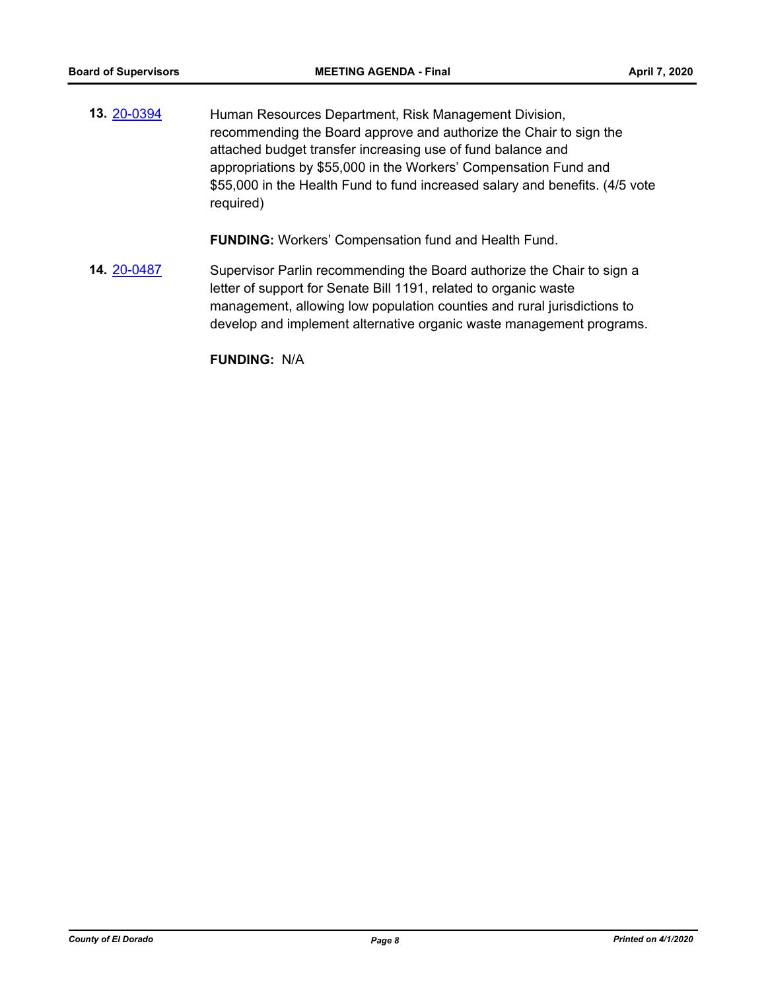**13.** [20-0394](http://eldorado.legistar.com/gateway.aspx?m=l&id=/matter.aspx?key=27599) Human Resources Department, Risk Management Division, recommending the Board approve and authorize the Chair to sign the attached budget transfer increasing use of fund balance and appropriations by \$55,000 in the Workers' Compensation Fund and \$55,000 in the Health Fund to fund increased salary and benefits. (4/5 vote required)

**FUNDING:** Workers' Compensation fund and Health Fund.

**14.** [20-0487](http://eldorado.legistar.com/gateway.aspx?m=l&id=/matter.aspx?key=27693) Supervisor Parlin recommending the Board authorize the Chair to sign a letter of support for Senate Bill 1191, related to organic waste management, allowing low population counties and rural jurisdictions to develop and implement alternative organic waste management programs.

**FUNDING:** N/A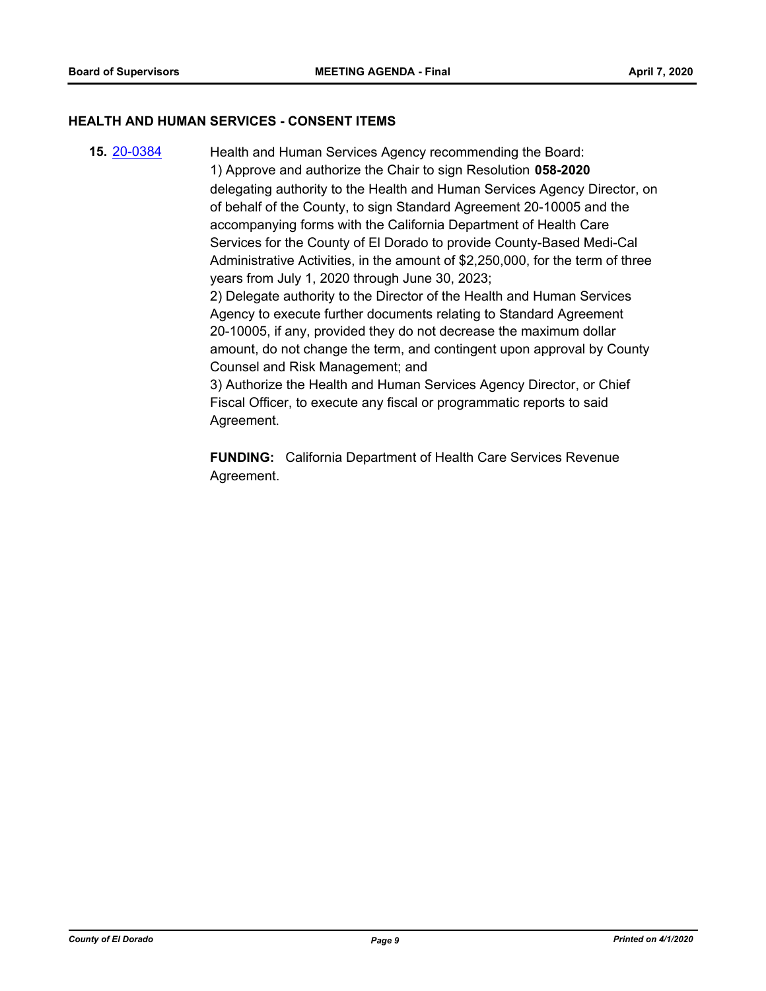#### **HEALTH AND HUMAN SERVICES - CONSENT ITEMS**

**15.** [20-0384](http://eldorado.legistar.com/gateway.aspx?m=l&id=/matter.aspx?key=27589) Health and Human Services Agency recommending the Board: 1) Approve and authorize the Chair to sign Resolution **058-2020** delegating authority to the Health and Human Services Agency Director, on of behalf of the County, to sign Standard Agreement 20-10005 and the accompanying forms with the California Department of Health Care Services for the County of El Dorado to provide County-Based Medi-Cal Administrative Activities, in the amount of \$2,250,000, for the term of three years from July 1, 2020 through June 30, 2023; 2) Delegate authority to the Director of the Health and Human Services Agency to execute further documents relating to Standard Agreement 20-10005, if any, provided they do not decrease the maximum dollar amount, do not change the term, and contingent upon approval by County Counsel and Risk Management; and 3) Authorize the Health and Human Services Agency Director, or Chief Fiscal Officer, to execute any fiscal or programmatic reports to said Agreement.

> **FUNDING:** California Department of Health Care Services Revenue Agreement.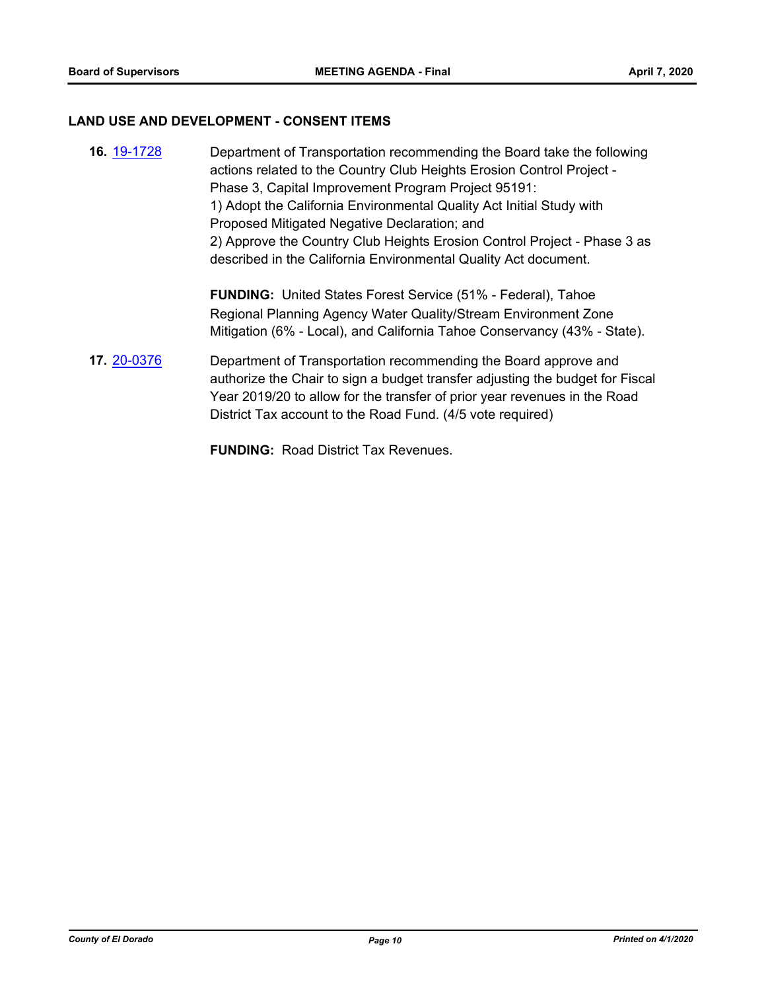## **LAND USE AND DEVELOPMENT - CONSENT ITEMS**

| 16. 19-1728 | Department of Transportation recommending the Board take the following<br>actions related to the Country Club Heights Erosion Control Project -<br>Phase 3, Capital Improvement Program Project 95191:<br>1) Adopt the California Environmental Quality Act Initial Study with<br>Proposed Mitigated Negative Declaration; and<br>2) Approve the Country Club Heights Erosion Control Project - Phase 3 as<br>described in the California Environmental Quality Act document. |
|-------------|-------------------------------------------------------------------------------------------------------------------------------------------------------------------------------------------------------------------------------------------------------------------------------------------------------------------------------------------------------------------------------------------------------------------------------------------------------------------------------|
|             | <b>FUNDING:</b> United States Forest Service (51% - Federal), Tahoe<br>Regional Planning Agency Water Quality/Stream Environment Zone<br>Mitigation (6% - Local), and California Tahoe Conservancy (43% - State).                                                                                                                                                                                                                                                             |
| 17. 20-0376 | Department of Transportation recommending the Board approve and<br>authorize the Chair to sign a budget transfer adjusting the budget for Fiscal<br>Year 2019/20 to allow for the transfer of prior year revenues in the Road<br>District Tax account to the Road Fund. (4/5 vote required)                                                                                                                                                                                   |

**FUNDING:** Road District Tax Revenues.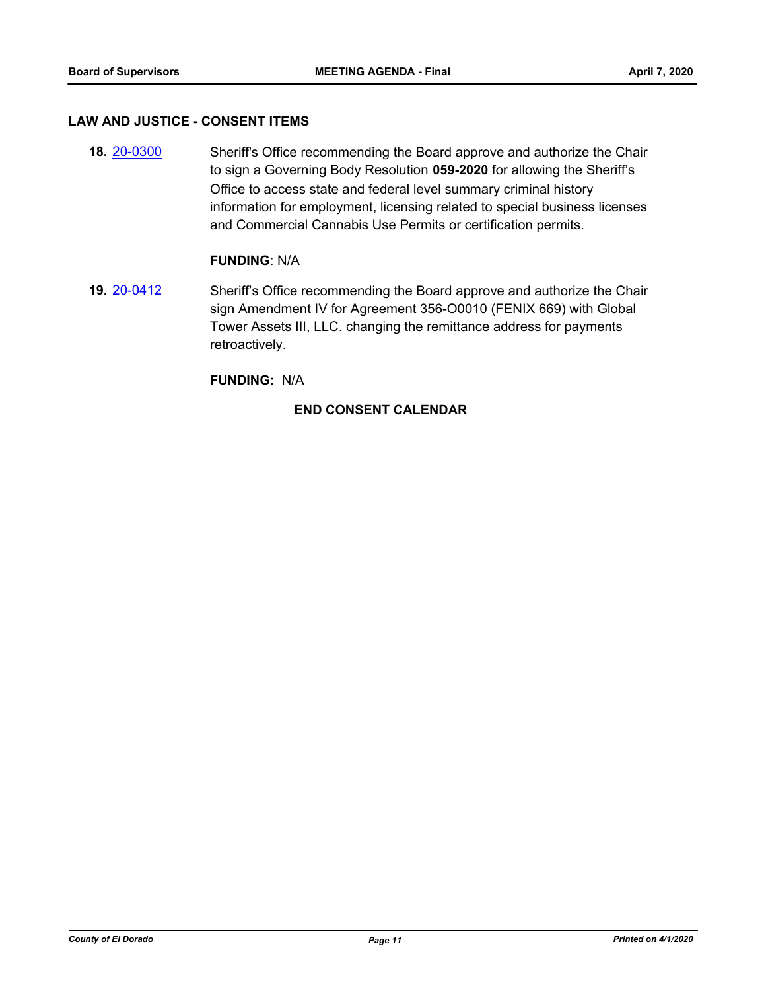#### **LAW AND JUSTICE - CONSENT ITEMS**

**18.** [20-0300](http://eldorado.legistar.com/gateway.aspx?m=l&id=/matter.aspx?key=27505) Sheriff's Office recommending the Board approve and authorize the Chair to sign a Governing Body Resolution **059-2020** for allowing the Sheriff's Office to access state and federal level summary criminal history information for employment, licensing related to special business licenses and Commercial Cannabis Use Permits or certification permits.

#### **FUNDING**: N/A

**19.** [20-0412](http://eldorado.legistar.com/gateway.aspx?m=l&id=/matter.aspx?key=27618) Sheriff's Office recommending the Board approve and authorize the Chair sign Amendment IV for Agreement 356-O0010 (FENIX 669) with Global Tower Assets III, LLC. changing the remittance address for payments retroactively.

#### **FUNDING:** N/A

### **END CONSENT CALENDAR**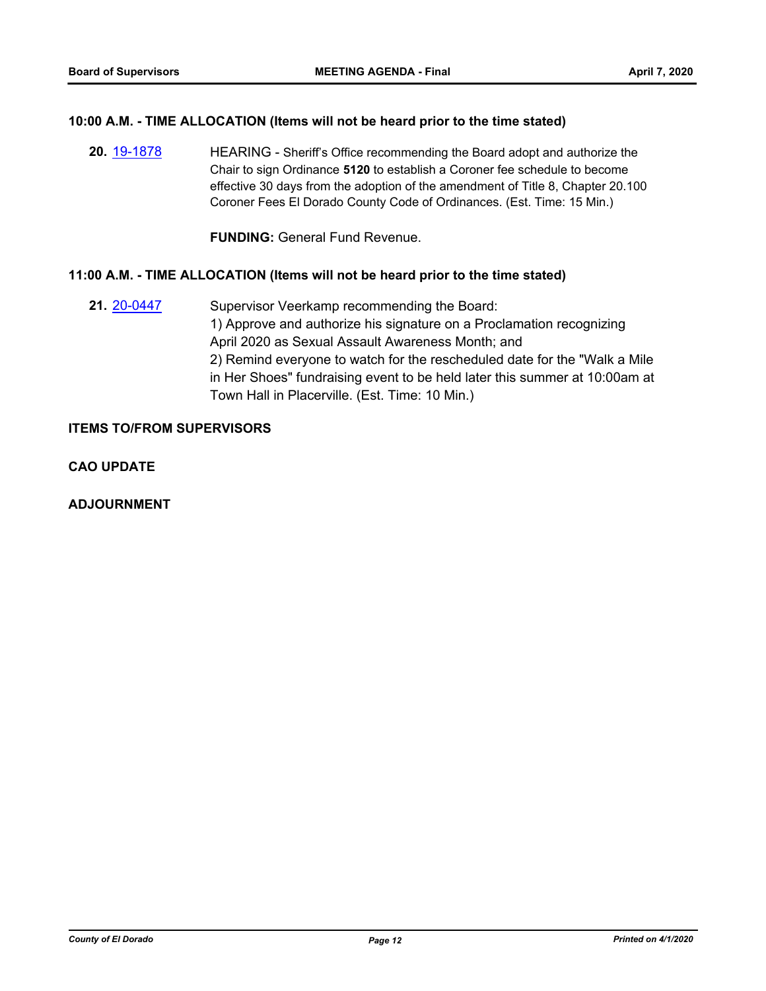#### **10:00 A.M. - TIME ALLOCATION (Items will not be heard prior to the time stated)**

**20.** [19-1878](http://eldorado.legistar.com/gateway.aspx?m=l&id=/matter.aspx?key=27202) HEARING - Sheriff's Office recommending the Board adopt and authorize the Chair to sign Ordinance **5120** to establish a Coroner fee schedule to become effective 30 days from the adoption of the amendment of Title 8, Chapter 20.100 Coroner Fees El Dorado County Code of Ordinances. (Est. Time: 15 Min.)

**FUNDING:** General Fund Revenue.

## **11:00 A.M. - TIME ALLOCATION (Items will not be heard prior to the time stated)**

**21.** [20-0447](http://eldorado.legistar.com/gateway.aspx?m=l&id=/matter.aspx?key=27653) Supervisor Veerkamp recommending the Board: 1) Approve and authorize his signature on a Proclamation recognizing April 2020 as Sexual Assault Awareness Month; and 2) Remind everyone to watch for the rescheduled date for the "Walk a Mile in Her Shoes" fundraising event to be held later this summer at 10:00am at Town Hall in Placerville. (Est. Time: 10 Min.)

#### **ITEMS TO/FROM SUPERVISORS**

**CAO UPDATE**

**ADJOURNMENT**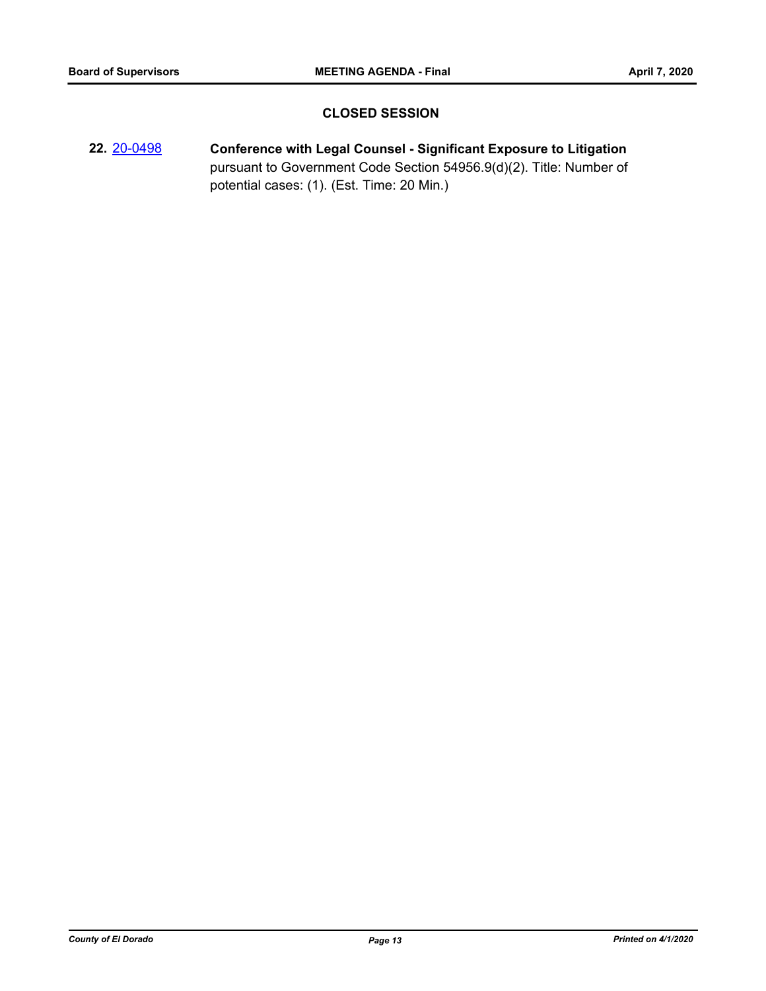## **CLOSED SESSION**

**22.** [20-0498](http://eldorado.legistar.com/gateway.aspx?m=l&id=/matter.aspx?key=27704) **Conference with Legal Counsel - Significant Exposure to Litigation** pursuant to Government Code Section 54956.9(d)(2). Title: Number of potential cases: (1). (Est. Time: 20 Min.)